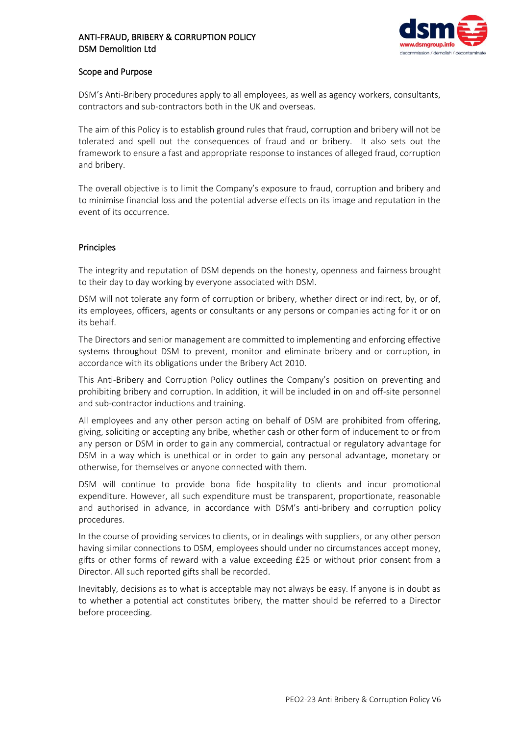

### Scope and Purpose

DSM's Anti-Bribery procedures apply to all employees, as well as agency workers, consultants, contractors and sub-contractors both in the UK and overseas.

The aim of this Policy is to establish ground rules that fraud, corruption and bribery will not be tolerated and spell out the consequences of fraud and or bribery. It also sets out the framework to ensure a fast and appropriate response to instances of alleged fraud, corruption and bribery.

The overall objective is to limit the Company's exposure to fraud, corruption and bribery and to minimise financial loss and the potential adverse effects on its image and reputation in the event of its occurrence.

## Principles

The integrity and reputation of DSM depends on the honesty, openness and fairness brought to their day to day working by everyone associated with DSM.

DSM will not tolerate any form of corruption or bribery, whether direct or indirect, by, or of, its employees, officers, agents or consultants or any persons or companies acting for it or on its behalf.

The Directors and senior management are committed to implementing and enforcing effective systems throughout DSM to prevent, monitor and eliminate bribery and or corruption, in accordance with its obligations under the Bribery Act 2010.

This Anti-Bribery and Corruption Policy outlines the Company's position on preventing and prohibiting bribery and corruption. In addition, it will be included in on and off-site personnel and sub-contractor inductions and training.

All employees and any other person acting on behalf of DSM are prohibited from offering, giving, soliciting or accepting any bribe, whether cash or other form of inducement to or from any person or DSM in order to gain any commercial, contractual or regulatory advantage for DSM in a way which is unethical or in order to gain any personal advantage, monetary or otherwise, for themselves or anyone connected with them.

DSM will continue to provide bona fide hospitality to clients and incur promotional expenditure. However, all such expenditure must be transparent, proportionate, reasonable and authorised in advance, in accordance with DSM's anti-bribery and corruption policy procedures.

In the course of providing services to clients, or in dealings with suppliers, or any other person having similar connections to DSM, employees should under no circumstances accept money, gifts or other forms of reward with a value exceeding £25 or without prior consent from a Director. All such reported gifts shall be recorded.

Inevitably, decisions as to what is acceptable may not always be easy. If anyone is in doubt as to whether a potential act constitutes bribery, the matter should be referred to a Director before proceeding.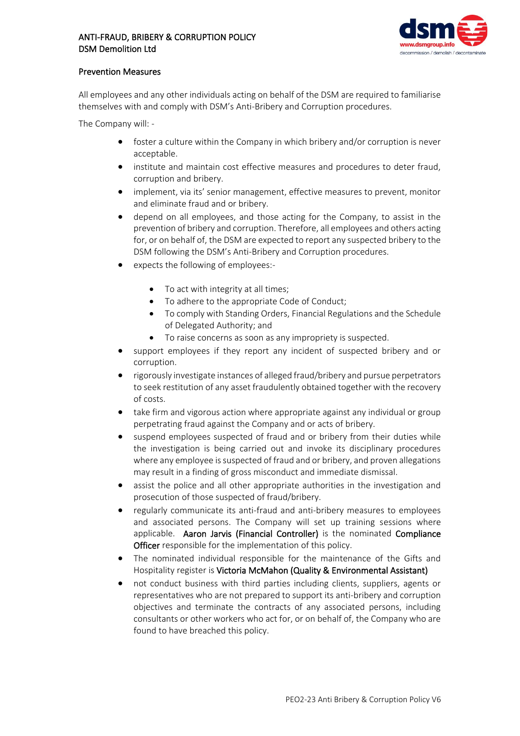

## Prevention Measures

All employees and any other individuals acting on behalf of the DSM are required to familiarise themselves with and comply with DSM's Anti-Bribery and Corruption procedures.

The Company will: -

- foster a culture within the Company in which bribery and/or corruption is never acceptable.
- institute and maintain cost effective measures and procedures to deter fraud, corruption and bribery.
- implement, via its' senior management, effective measures to prevent, monitor and eliminate fraud and or bribery.
- depend on all employees, and those acting for the Company, to assist in the prevention of bribery and corruption. Therefore, all employees and others acting for, or on behalf of, the DSM are expected to report any suspected bribery to the DSM following the DSM's Anti-Bribery and Corruption procedures.
- expects the following of employees:-
	- To act with integrity at all times;
	- To adhere to the appropriate Code of Conduct;
	- To comply with Standing Orders, Financial Regulations and the Schedule of Delegated Authority; and
	- To raise concerns as soon as any impropriety is suspected.
- support employees if they report any incident of suspected bribery and or corruption.
- rigorously investigate instances of alleged fraud/bribery and pursue perpetrators to seek restitution of any asset fraudulently obtained together with the recovery of costs.
- take firm and vigorous action where appropriate against any individual or group perpetrating fraud against the Company and or acts of bribery.
- suspend employees suspected of fraud and or bribery from their duties while the investigation is being carried out and invoke its disciplinary procedures where any employee is suspected of fraud and or bribery, and proven allegations may result in a finding of gross misconduct and immediate dismissal.
- assist the police and all other appropriate authorities in the investigation and prosecution of those suspected of fraud/bribery.
- regularly communicate its anti-fraud and anti-bribery measures to employees and associated persons. The Company will set up training sessions where applicable. Aaron Jarvis (Financial Controller) is the nominated Compliance Officer responsible for the implementation of this policy.
- The nominated individual responsible for the maintenance of the Gifts and Hospitality register is Victoria McMahon (Quality & Environmental Assistant)
- not conduct business with third parties including clients, suppliers, agents or representatives who are not prepared to support its anti-bribery and corruption objectives and terminate the contracts of any associated persons, including consultants or other workers who act for, or on behalf of, the Company who are found to have breached this policy.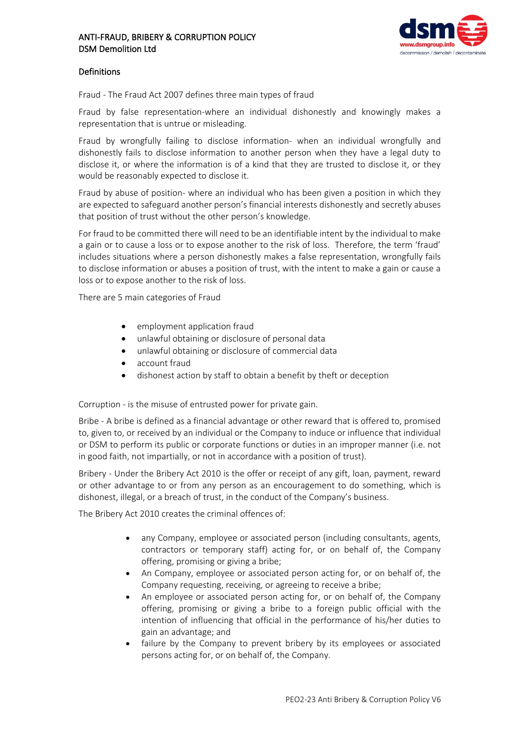

## Definitions

Fraud - The Fraud Act 2007 defines three main types of fraud

Fraud by false representation-where an individual dishonestly and knowingly makes a representation that is untrue or misleading.

Fraud by wrongfully failing to disclose information- when an individual wrongfully and dishonestly fails to disclose information to another person when they have a legal duty to disclose it, or where the information is of a kind that they are trusted to disclose it, or they would be reasonably expected to disclose it.

Fraud by abuse of position- where an individual who has been given a position in which they are expected to safeguard another person's financial interests dishonestly and secretly abuses that position of trust without the other person's knowledge.

For fraud to be committed there will need to be an identifiable intent by the individual to make a gain or to cause a loss or to expose another to the risk of loss. Therefore, the term 'fraud' includes situations where a person dishonestly makes a false representation, wrongfully fails to disclose information or abuses a position of trust, with the intent to make a gain or cause a loss or to expose another to the risk of loss.

There are 5 main categories of Fraud

- employment application fraud
- unlawful obtaining or disclosure of personal data
- unlawful obtaining or disclosure of commercial data
- account fraud
- dishonest action by staff to obtain a benefit by theft or deception

Corruption - is the misuse of entrusted power for private gain.

Bribe - A bribe is defined as a financial advantage or other reward that is offered to, promised to, given to, or received by an individual or the Company to induce or influence that individual or DSM to perform its public or corporate functions or duties in an improper manner (i.e. not in good faith, not impartially, or not in accordance with a position of trust).

Bribery - Under the Bribery Act 2010 is the offer or receipt of any gift, loan, payment, reward or other advantage to or from any person as an encouragement to do something, which is dishonest, illegal, or a breach of trust, in the conduct of the Company's business.

The Bribery Act 2010 creates the criminal offences of:

- any Company, employee or associated person (including consultants, agents, contractors or temporary staff) acting for, or on behalf of, the Company offering, promising or giving a bribe;
- An Company, employee or associated person acting for, or on behalf of, the Company requesting, receiving, or agreeing to receive a bribe;
- An employee or associated person acting for, or on behalf of, the Company offering, promising or giving a bribe to a foreign public official with the intention of influencing that official in the performance of his/her duties to gain an advantage; and
- failure by the Company to prevent bribery by its employees or associated persons acting for, or on behalf of, the Company.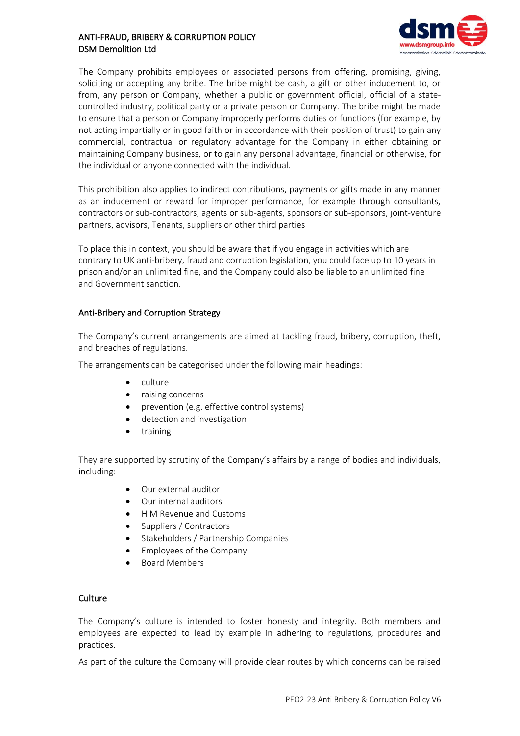

The Company prohibits employees or associated persons from offering, promising, giving, soliciting or accepting any bribe. The bribe might be cash, a gift or other inducement to, or from, any person or Company, whether a public or government official, official of a statecontrolled industry, political party or a private person or Company. The bribe might be made to ensure that a person or Company improperly performs duties or functions (for example, by not acting impartially or in good faith or in accordance with their position of trust) to gain any commercial, contractual or regulatory advantage for the Company in either obtaining or maintaining Company business, or to gain any personal advantage, financial or otherwise, for the individual or anyone connected with the individual.

This prohibition also applies to indirect contributions, payments or gifts made in any manner as an inducement or reward for improper performance, for example through consultants, contractors or sub-contractors, agents or sub-agents, sponsors or sub-sponsors, joint-venture partners, advisors, Tenants, suppliers or other third parties

To place this in context, you should be aware that if you engage in activities which are contrary to UK anti-bribery, fraud and corruption legislation, you could face up to 10 years in prison and/or an unlimited fine, and the Company could also be liable to an unlimited fine and Government sanction.

## Anti-Bribery and Corruption Strategy

The Company's current arrangements are aimed at tackling fraud, bribery, corruption, theft, and breaches of regulations.

The arrangements can be categorised under the following main headings:

- culture
- raising concerns
- prevention (e.g. effective control systems)
- detection and investigation
- training

They are supported by scrutiny of the Company's affairs by a range of bodies and individuals, including:

- Our external auditor
- Our internal auditors
- H M Revenue and Customs
- Suppliers / Contractors
- Stakeholders / Partnership Companies
- Employees of the Company
- Board Members

### **Culture**

The Company's culture is intended to foster honesty and integrity. Both members and employees are expected to lead by example in adhering to regulations, procedures and practices.

As part of the culture the Company will provide clear routes by which concerns can be raised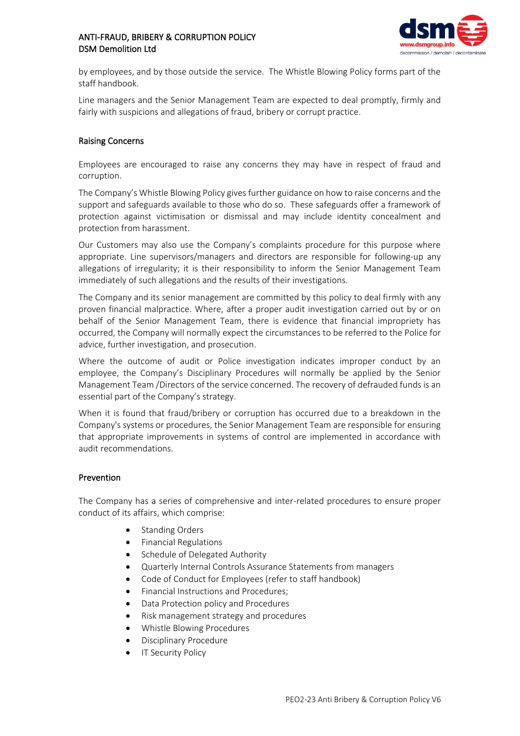

by employees, and by those outside the service. The Whistle Blowing Policy forms part of the staff handbook.

Line managers and the Senior Management Team are expected to deal promptly, firmly and fairly with suspicions and allegations of fraud, bribery or corrupt practice.

## Raising Concerns

Employees are encouraged to raise any concerns they may have in respect of fraud and corruption.

The Company's Whistle Blowing Policy gives further guidance on how to raise concerns and the support and safeguards available to those who do so. These safeguards offer a framework of protection against victimisation or dismissal and may include identity concealment and protection from harassment.

Our Customers may also use the Company's complaints procedure for this purpose where appropriate. Line supervisors/managers and directors are responsible for following-up any allegations of irregularity; it is their responsibility to inform the Senior Management Team immediately of such allegations and the results of their investigations.

The Company and its senior management are committed by this policy to deal firmly with any proven financial malpractice. Where, after a proper audit investigation carried out by or on behalf of the Senior Management Team, there is evidence that financial impropriety has occurred, the Company will normally expect the circumstances to be referred to the Police for advice, further investigation, and prosecution.

Where the outcome of audit or Police investigation indicates improper conduct by an employee, the Company's Disciplinary Procedures will normally be applied by the Senior Management Team /Directors of the service concerned. The recovery of defrauded funds is an essential part of the Company's strategy.

When it is found that fraud/bribery or corruption has occurred due to a breakdown in the Company's systems or procedures, the Senior Management Team are responsible for ensuring that appropriate improvements in systems of control are implemented in accordance with audit recommendations.

#### Prevention

The Company has a series of comprehensive and inter-related procedures to ensure proper conduct of its affairs, which comprise:

- Standing Orders
- Financial Regulations
- Schedule of Delegated Authority
- Quarterly Internal Controls Assurance Statements from managers
- Code of Conduct for Employees (refer to staff handbook)
- Financial Instructions and Procedures;
- Data Protection policy and Procedures
- Risk management strategy and procedures
- Whistle Blowing Procedures
- Disciplinary Procedure
- **IT Security Policy**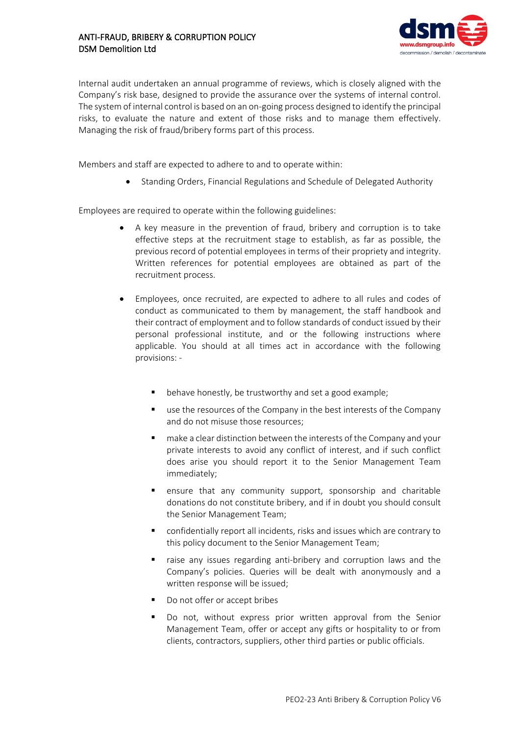

Internal audit undertaken an annual programme of reviews, which is closely aligned with the Company's risk base, designed to provide the assurance over the systems of internal control. The system of internal control is based on an on-going process designed to identify the principal risks, to evaluate the nature and extent of those risks and to manage them effectively. Managing the risk of fraud/bribery forms part of this process.

Members and staff are expected to adhere to and to operate within:

• Standing Orders, Financial Regulations and Schedule of Delegated Authority

Employees are required to operate within the following guidelines:

- A key measure in the prevention of fraud, bribery and corruption is to take effective steps at the recruitment stage to establish, as far as possible, the previous record of potential employees in terms of their propriety and integrity. Written references for potential employees are obtained as part of the recruitment process.
- Employees, once recruited, are expected to adhere to all rules and codes of conduct as communicated to them by management, the staff handbook and their contract of employment and to follow standards of conduct issued by their personal professional institute, and or the following instructions where applicable. You should at all times act in accordance with the following provisions:
	- behave honestly, be trustworthy and set a good example;
	- use the resources of the Company in the best interests of the Company and do not misuse those resources;
	- make a clear distinction between the interests of the Company and your private interests to avoid any conflict of interest, and if such conflict does arise you should report it to the Senior Management Team immediately;
	- ensure that any community support, sponsorship and charitable donations do not constitute bribery, and if in doubt you should consult the Senior Management Team;
	- confidentially report all incidents, risks and issues which are contrary to this policy document to the Senior Management Team;
	- raise any issues regarding anti-bribery and corruption laws and the Company's policies. Queries will be dealt with anonymously and a written response will be issued;
	- Do not offer or accept bribes
	- Do not, without express prior written approval from the Senior Management Team, offer or accept any gifts or hospitality to or from clients, contractors, suppliers, other third parties or public officials.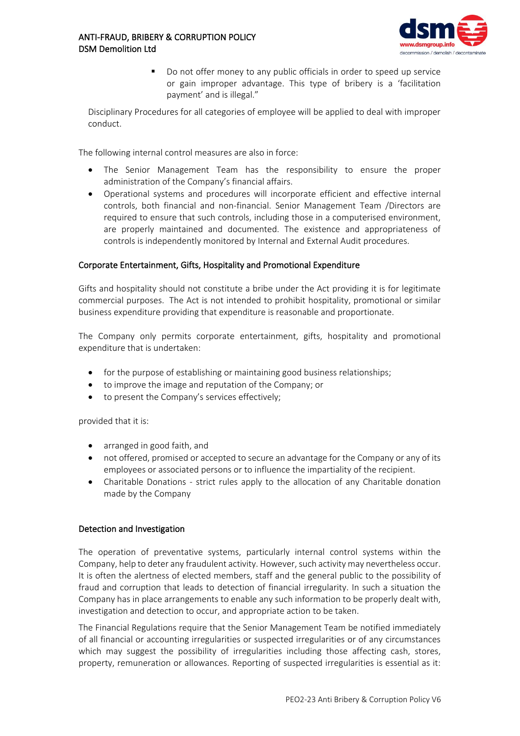

Do not offer money to any public officials in order to speed up service or gain improper advantage. This type of bribery is a 'facilitation payment' and is illegal."

Disciplinary Procedures for all categories of employee will be applied to deal with improper conduct.

The following internal control measures are also in force:

- The Senior Management Team has the responsibility to ensure the proper administration of the Company's financial affairs.
- Operational systems and procedures will incorporate efficient and effective internal controls, both financial and non-financial. Senior Management Team /Directors are required to ensure that such controls, including those in a computerised environment, are properly maintained and documented. The existence and appropriateness of controls is independently monitored by Internal and External Audit procedures.

## Corporate Entertainment, Gifts, Hospitality and Promotional Expenditure

Gifts and hospitality should not constitute a bribe under the Act providing it is for legitimate commercial purposes. The Act is not intended to prohibit hospitality, promotional or similar business expenditure providing that expenditure is reasonable and proportionate.

The Company only permits corporate entertainment, gifts, hospitality and promotional expenditure that is undertaken:

- for the purpose of establishing or maintaining good business relationships;
- to improve the image and reputation of the Company; or
- to present the Company's services effectively;

provided that it is:

- arranged in good faith, and
- not offered, promised or accepted to secure an advantage for the Company or any of its employees or associated persons or to influence the impartiality of the recipient.
- Charitable Donations strict rules apply to the allocation of any Charitable donation made by the Company

#### Detection and Investigation

The operation of preventative systems, particularly internal control systems within the Company, help to deter any fraudulent activity. However, such activity may nevertheless occur. It is often the alertness of elected members, staff and the general public to the possibility of fraud and corruption that leads to detection of financial irregularity. In such a situation the Company has in place arrangements to enable any such information to be properly dealt with, investigation and detection to occur, and appropriate action to be taken.

The Financial Regulations require that the Senior Management Team be notified immediately of all financial or accounting irregularities or suspected irregularities or of any circumstances which may suggest the possibility of irregularities including those affecting cash, stores, property, remuneration or allowances. Reporting of suspected irregularities is essential as it: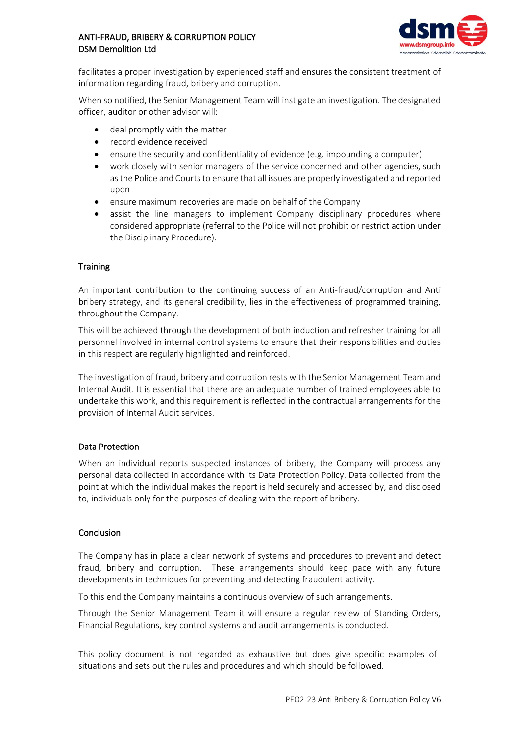

facilitates a proper investigation by experienced staff and ensures the consistent treatment of information regarding fraud, bribery and corruption.

When so notified, the Senior Management Team will instigate an investigation. The designated officer, auditor or other advisor will:

- deal promptly with the matter
- record evidence received
- ensure the security and confidentiality of evidence (e.g. impounding a computer)
- work closely with senior managers of the service concerned and other agencies, such as the Police and Courts to ensure that all issues are properly investigated and reported upon
- ensure maximum recoveries are made on behalf of the Company
- assist the line managers to implement Company disciplinary procedures where considered appropriate (referral to the Police will not prohibit or restrict action under the Disciplinary Procedure).

## **Training**

An important contribution to the continuing success of an Anti-fraud/corruption and Anti bribery strategy, and its general credibility, lies in the effectiveness of programmed training, throughout the Company.

This will be achieved through the development of both induction and refresher training for all personnel involved in internal control systems to ensure that their responsibilities and duties in this respect are regularly highlighted and reinforced.

The investigation of fraud, bribery and corruption rests with the Senior Management Team and Internal Audit. It is essential that there are an adequate number of trained employees able to undertake this work, and this requirement is reflected in the contractual arrangements for the provision of Internal Audit services.

#### Data Protection

When an individual reports suspected instances of bribery, the Company will process any personal data collected in accordance with its Data Protection Policy. Data collected from the point at which the individual makes the report is held securely and accessed by, and disclosed to, individuals only for the purposes of dealing with the report of bribery.

#### Conclusion

The Company has in place a clear network of systems and procedures to prevent and detect fraud, bribery and corruption. These arrangements should keep pace with any future developments in techniques for preventing and detecting fraudulent activity.

To this end the Company maintains a continuous overview of such arrangements.

Through the Senior Management Team it will ensure a regular review of Standing Orders, Financial Regulations, key control systems and audit arrangements is conducted.

This policy document is not regarded as exhaustive but does give specific examples of situations and sets out the rules and procedures and which should be followed.